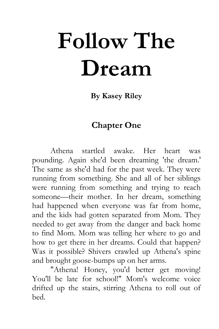## **Follow The Dream**

**By Kasey Riley**

## **Chapter One**

Athena startled awake. Her heart was pounding. Again she'd been dreaming 'the dream.' The same as she'd had for the past week. They were running from something. She and all of her siblings were running from something and trying to reach someone—their mother. In her dream, something had happened when everyone was far from home, and the kids had gotten separated from Mom. They needed to get away from the danger and back home to find Mom. Mom was telling her where to go and how to get there in her dreams. Could that happen? Was it possible? Shivers crawled up Athena's spine and brought goose-bumps up on her arms.

"Athena! Honey, you'd better get moving! You'll be late for school!" Mom's welcome voice drifted up the stairs, stirring Athena to roll out of bed.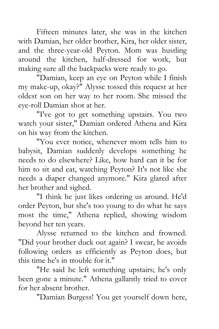Fifteen minutes later, she was in the kitchen with Damian, her older brother, Kira, her older sister, and the three-year-old Peyton. Mom was hustling around the kitchen, half-dressed for work, but making sure all the backpacks were ready to go.

"Damian, keep an eye on Peyton while I finish my make-up, okay?" Alysse tossed this request at her oldest son on her way to her room. She missed the eye-roll Damian shot at her.

"I've got to get something upstairs. You two watch your sister," Damian ordered Athena and Kira on his way from the kitchen.

"You ever notice, whenever mom tells him to babysit, Damian suddenly develops something he needs to do elsewhere? Like, how hard can it be for him to sit and eat, watching Peyton? It's not like she needs a diaper changed anymore." Kira glared after her brother and sighed.

"I think he just likes ordering us around. He'd order Peyton, but she's too young to do what he says most the time," Athena replied, showing wisdom beyond her ten years.

Alysse returned to the kitchen and frowned. "Did your brother duck out again? I swear, he avoids following orders as efficiently as Peyton does, but this time he's in trouble for it."

"He said he left something upstairs; he's only been gone a minute." Athena gallantly tried to cover for her absent brother.

"Damian Burgess! You get yourself down here,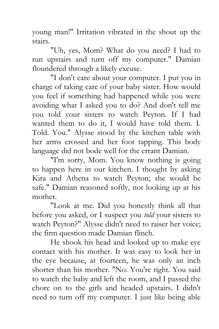young man!" Irritation vibrated in the shout up the stairs.

"Uh, yes, Mom? What do you need? I had to run upstairs and turn off my computer." Damian floundered through a likely excuse.

"I don't care about your computer. I put you in charge of taking care of your baby sister. How would you feel if something had happened while you were avoiding what I asked you to do? And don't tell me you told your sisters to watch Peyton. If I had wanted them to do it, I would have told them. I. Told. You." Alysse stood by the kitchen table with her arms crossed and her foot tapping. This body language did not bode well for the errant Damian.

"I'm sorry, Mom. You know nothing is going to happen here in our kitchen. I thought by asking Kira and Athena to watch Peyton; she would be safe." Damian reasoned softly, not looking up at his mother.

"Look at me. Did you honestly think all that before you asked, or I suspect you *told* your sisters to watch Peyton?" Alysse didn't need to raiser her voice; the firm question made Damian flinch.

He shook his head and looked up to make eye contact with his mother. It was easy to look her in the eye because, at fourteen, he was only an inch shorter than his mother. "No. You're right. You said to watch the baby and left the room, and I passed the chore on to the girls and headed upstairs. I didn't need to turn off my computer. I just like being able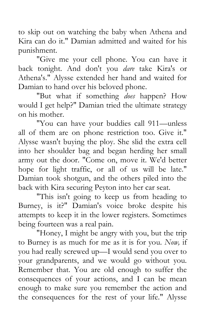to skip out on watching the baby when Athena and Kira can do it." Damian admitted and waited for his punishment.

"Give me your cell phone. You can have it back tonight. And don't you *dare* take Kira's or Athena's." Alysse extended her hand and waited for Damian to hand over his beloved phone.

"But what if something *does* happen? How would I get help?" Damian tried the ultimate strategy on his mother.

"You can have your buddies call 911—unless all of them are on phone restriction too. Give it." Alysse wasn't buying the ploy. She slid the extra cell into her shoulder bag and began herding her small army out the door. "Come on, move it. We'd better hope for light traffic, or all of us will be late." Damian took shotgun, and the others piled into the back with Kira securing Peyton into her car seat.

"This isn't going to keep us from heading to Burney, is it?" Damian's voice broke despite his attempts to keep it in the lower registers. Sometimes being fourteen was a real pain.

"Honey, I might be angry with you, but the trip to Burney is as much for me as it is for you. *Now,* if you had really screwed up—I would send you over to your grandparents, and we would go without you. Remember that. You are old enough to suffer the consequences of your actions, and I can be mean enough to make sure you remember the action and the consequences for the rest of your life." Alysse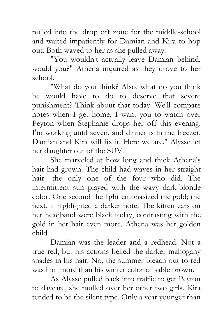pulled into the drop off zone for the middle-school and waited impatiently for Damian and Kira to hop out. Both waved to her as she pulled away.

"You wouldn't actually leave Damian behind, would you?" Athena inquired as they drove to her school.

"What do you think? Also, what do you think he would have to do to deserve that severe punishment? Think about that today. We'll compare notes when I get home. I want you to watch over Peyton when Stephanie drops her off this evening. I'm working until seven, and dinner is in the freezer. Damian and Kira will fix it. Here we are." Alysse let her daughter out of the SUV.

She marveled at how long and thick Athena's hair had grown. The child had waves in her straight hair—the only one of the four who did. The intermittent sun played with the wavy dark-blonde color. One second the light emphasized the gold; the next, it highlighted a darker note. The kitten ears on her headband were black today, contrasting with the gold in her hair even more. Athena was her golden child.

Damian was the leader and a redhead. Not a true red, but his actions belied the darker mahogany shades in his hair. No, the summer bleach out to red was him more than his winter color of sable brown.

As Alysse pulled back into traffic to get Peyton to daycare, she mulled over her other two girls. Kira tended to be the silent type. Only a year younger than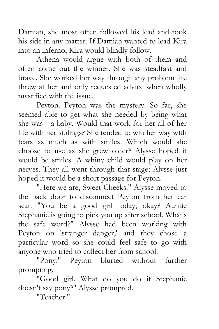Damian, she most often followed his lead and took his side in any matter. If Damian wanted to lead Kira into an inferno, Kira would blindly follow.

Athena would argue with both of them and often come out the winner. She was steadfast and brave. She worked her way through any problem life threw at her and only requested advice when wholly mystified with the issue.

Peyton. Peyton was the mystery. So far, she seemed able to get what she needed by being what she was—a baby. Would that work for her all of her life with her siblings? She tended to win her way with tears as much as with smiles. Which would she choose to use as she grew older? Alysse hoped it would be smiles. A whiny child would play on her nerves. They all went through that stage; Alysse just hoped it would be a short passage for Peyton.

"Here we are, Sweet Cheeks." Alysse moved to the back door to disconnect Peyton from her car seat. "You be a good girl today, okay? Auntie Stephanie is going to pick you up after school. What's the safe word?" Alysse had been working with Peyton on 'stranger danger,' and they chose a particular word so she could feel safe to go with anyone who tried to collect her from school.

"Pony." Peyton blurted without further prompting.

"Good girl. What do you do if Stephanie doesn't say pony?" Alysse prompted.

"Teacher."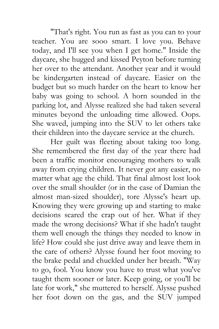"That's right. You run as fast as you can to your teacher. You are sooo smart. I love you. Behave today, and I'll see you when I get home." Inside the daycare, she hugged and kissed Peyton before turning her over to the attendant. Another year and it would be kindergarten instead of daycare. Easier on the budget but so much harder on the heart to know her baby was going to school. A horn sounded in the parking lot, and Alysse realized she had taken several minutes beyond the unloading time allowed. Oops. She waved, jumping into the SUV to let others take their children into the daycare service at the church.

Her guilt was fleeting about taking too long. She remembered the first day of the year there had been a traffic monitor encouraging mothers to walk away from crying children. It never got any easier, no matter what age the child. That final almost lost look over the small shoulder (or in the case of Damian the almost man-sized shoulder), tore Alysse's heart up. Knowing they were growing up and starting to make decisions scared the crap out of her. What if they made the wrong decisions? What if she hadn't taught them well enough the things they needed to know in life? How could she just drive away and leave them in the care of others? Alysse found her foot moving to the brake pedal and chuckled under her breath. "Way to go, fool. You know you have to trust what you've taught them sooner or later. Keep going, or you'll be late for work," she muttered to herself. Alysse pushed her foot down on the gas, and the SUV jumped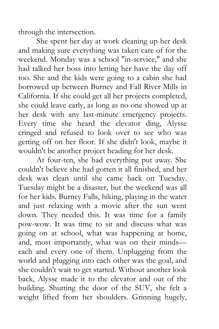through the intersection.

She spent her day at work cleaning up her desk and making sure everything was taken care of for the weekend. Monday was a school "in-service," and she had talked her boss into letting her have the day off too. She and the kids were going to a cabin she had borrowed up between Burney and Fall River Mills in California. If she could get all her projects completed, she could leave early, as long as no one showed up at her desk with any last-minute emergency projects. Every time she heard the elevator ding, Alysse cringed and refused to look over to see who was getting off on her floor. If she didn't look, maybe it wouldn't be another project heading for her desk.

At four-ten, she had everything put away. She couldn't believe she had gotten it all finished, and her desk was clean until she came back on Tuesday. Tuesday might be a disaster, but the weekend was all for her kids. Burney Falls, hiking, playing in the water and just relaxing with a movie after the sun went down. They needed this. It was time for a family pow-wow. It was time to sit and discuss what was going on at school, what was happening at home, and, most importantly, what was on their minds each and every one of them. Unplugging from the world and plugging into each other was the goal, and she couldn't wait to get started. Without another look back, Alysse made it to the elevator and out of the building. Shutting the door of the SUV, she felt a weight lifted from her shoulders. Grinning hugely,